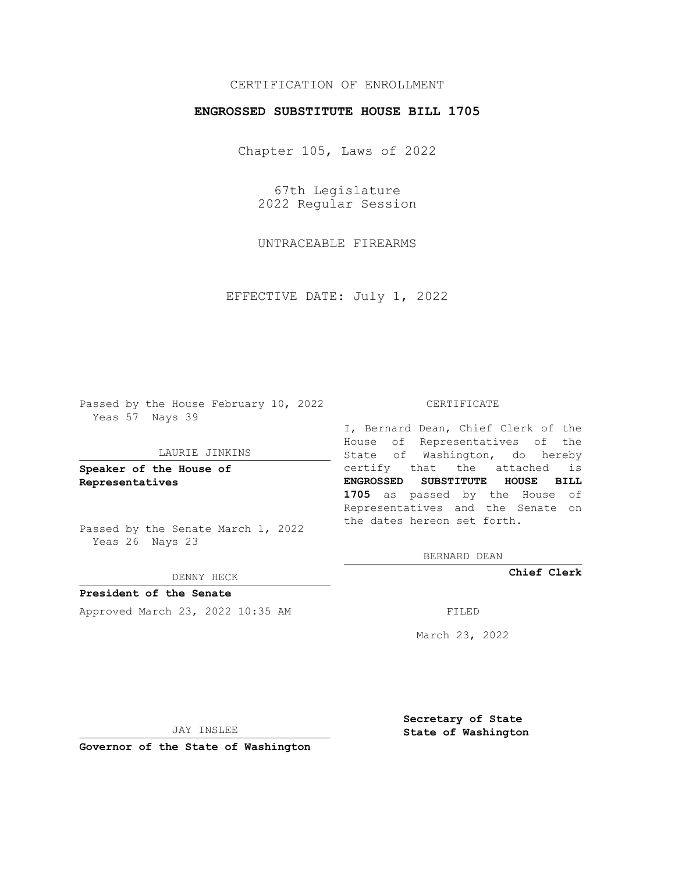# CERTIFICATION OF ENROLLMENT

## **ENGROSSED SUBSTITUTE HOUSE BILL 1705**

Chapter 105, Laws of 2022

67th Legislature 2022 Regular Session

UNTRACEABLE FIREARMS

EFFECTIVE DATE: July 1, 2022

Passed by the House February 10, 2022 Yeas 57 Nays 39

#### LAURIE JINKINS

**Speaker of the House of Representatives**

Passed by the Senate March 1, 2022 Yeas 26 Nays 23

#### DENNY HECK

**President of the Senate** Approved March 23, 2022 10:35 AM FILED

#### CERTIFICATE

I, Bernard Dean, Chief Clerk of the House of Representatives of the State of Washington, do hereby certify that the attached is **ENGROSSED SUBSTITUTE HOUSE BILL 1705** as passed by the House of Representatives and the Senate on the dates hereon set forth.

BERNARD DEAN

**Chief Clerk**

March 23, 2022

JAY INSLEE

**Governor of the State of Washington**

**Secretary of State State of Washington**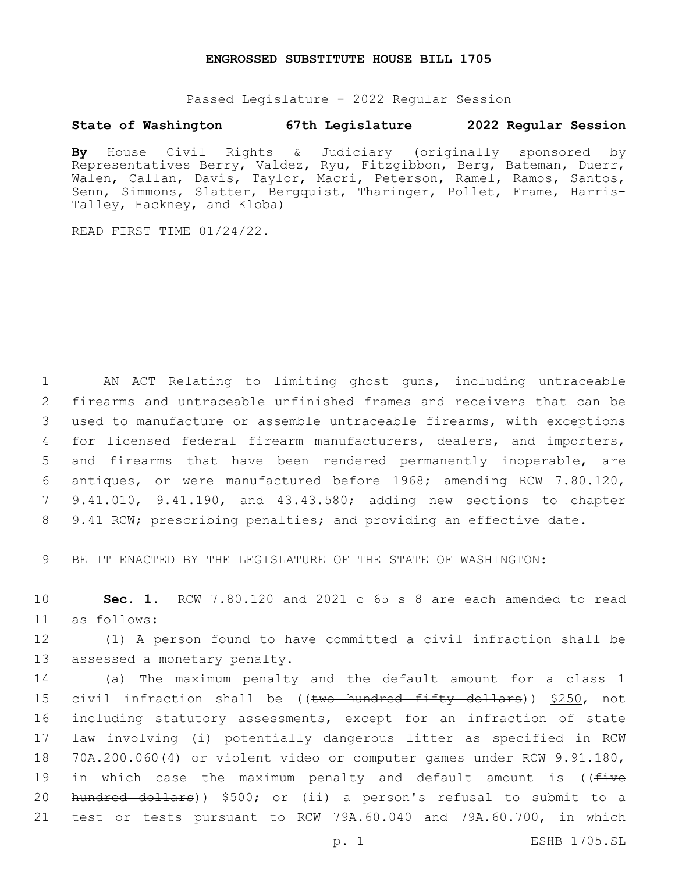### **ENGROSSED SUBSTITUTE HOUSE BILL 1705**

Passed Legislature - 2022 Regular Session

## **State of Washington 67th Legislature 2022 Regular Session**

**By** House Civil Rights & Judiciary (originally sponsored by Representatives Berry, Valdez, Ryu, Fitzgibbon, Berg, Bateman, Duerr, Walen, Callan, Davis, Taylor, Macri, Peterson, Ramel, Ramos, Santos, Senn, Simmons, Slatter, Bergquist, Tharinger, Pollet, Frame, Harris-Talley, Hackney, and Kloba)

READ FIRST TIME 01/24/22.

 AN ACT Relating to limiting ghost guns, including untraceable firearms and untraceable unfinished frames and receivers that can be used to manufacture or assemble untraceable firearms, with exceptions for licensed federal firearm manufacturers, dealers, and importers, and firearms that have been rendered permanently inoperable, are antiques, or were manufactured before 1968; amending RCW 7.80.120, 9.41.010, 9.41.190, and 43.43.580; adding new sections to chapter 9.41 RCW; prescribing penalties; and providing an effective date.

9 BE IT ENACTED BY THE LEGISLATURE OF THE STATE OF WASHINGTON:

10 **Sec. 1.** RCW 7.80.120 and 2021 c 65 s 8 are each amended to read as follows:11

12 (1) A person found to have committed a civil infraction shall be 13 assessed a monetary penalty.

 (a) The maximum penalty and the default amount for a class 1 15 civil infraction shall be ((two hundred fifty dollars)) \$250, not including statutory assessments, except for an infraction of state law involving (i) potentially dangerous litter as specified in RCW 70A.200.060(4) or violent video or computer games under RCW 9.91.180, 19 in which case the maximum penalty and default amount is ((five hundred dollars)) \$500; or (ii) a person's refusal to submit to a test or tests pursuant to RCW 79A.60.040 and 79A.60.700, in which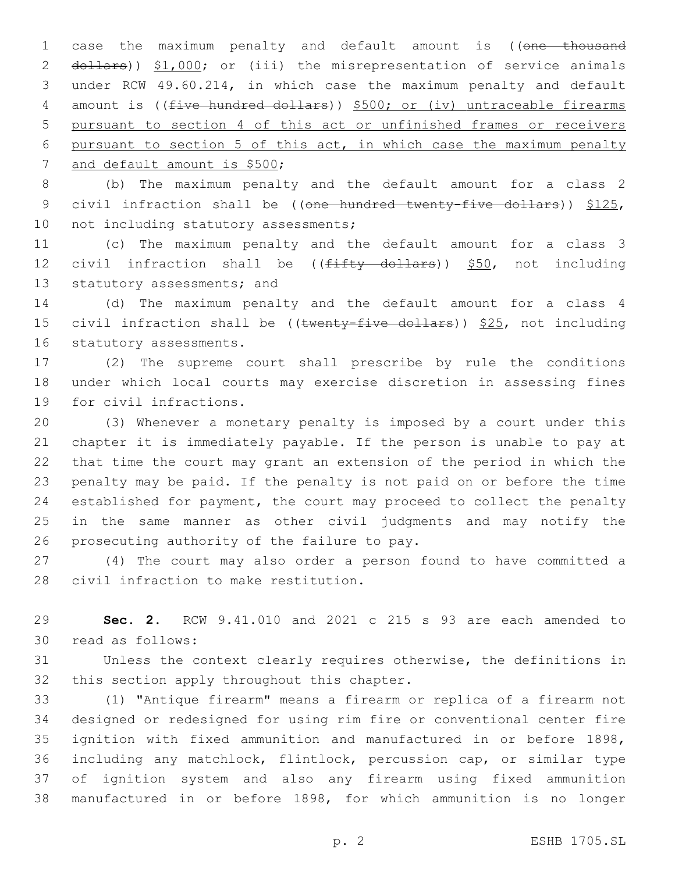1 case the maximum penalty and default amount is ((one thousand 2 dollars)) \$1,000; or (iii) the misrepresentation of service animals 3 under RCW 49.60.214, in which case the maximum penalty and default 4 amount is ((five hundred dollars)) \$500; or (iv) untraceable firearms 5 pursuant to section 4 of this act or unfinished frames or receivers 6 pursuant to section 5 of this act, in which case the maximum penalty 7 and default amount is \$500;

8 (b) The maximum penalty and the default amount for a class 2 9 civil infraction shall be ((one hundred twenty-five dollars)) \$125, 10 not including statutory assessments;

11 (c) The maximum penalty and the default amount for a class 3 12 civil infraction shall be  $((f\text{iffty} + f)$  dollars)) \$50, not including 13 statutory assessments; and

14 (d) The maximum penalty and the default amount for a class 4 15 civil infraction shall be (( $t$ wenty-five dollars))  $$25$ , not including 16 statutory assessments.

17 (2) The supreme court shall prescribe by rule the conditions 18 under which local courts may exercise discretion in assessing fines 19 for civil infractions.

 (3) Whenever a monetary penalty is imposed by a court under this chapter it is immediately payable. If the person is unable to pay at that time the court may grant an extension of the period in which the penalty may be paid. If the penalty is not paid on or before the time established for payment, the court may proceed to collect the penalty in the same manner as other civil judgments and may notify the 26 prosecuting authority of the failure to pay.

27 (4) The court may also order a person found to have committed a 28 civil infraction to make restitution.

29 **Sec. 2.** RCW 9.41.010 and 2021 c 215 s 93 are each amended to 30 read as follows:

31 Unless the context clearly requires otherwise, the definitions in 32 this section apply throughout this chapter.

 (1) "Antique firearm" means a firearm or replica of a firearm not designed or redesigned for using rim fire or conventional center fire ignition with fixed ammunition and manufactured in or before 1898, including any matchlock, flintlock, percussion cap, or similar type of ignition system and also any firearm using fixed ammunition manufactured in or before 1898, for which ammunition is no longer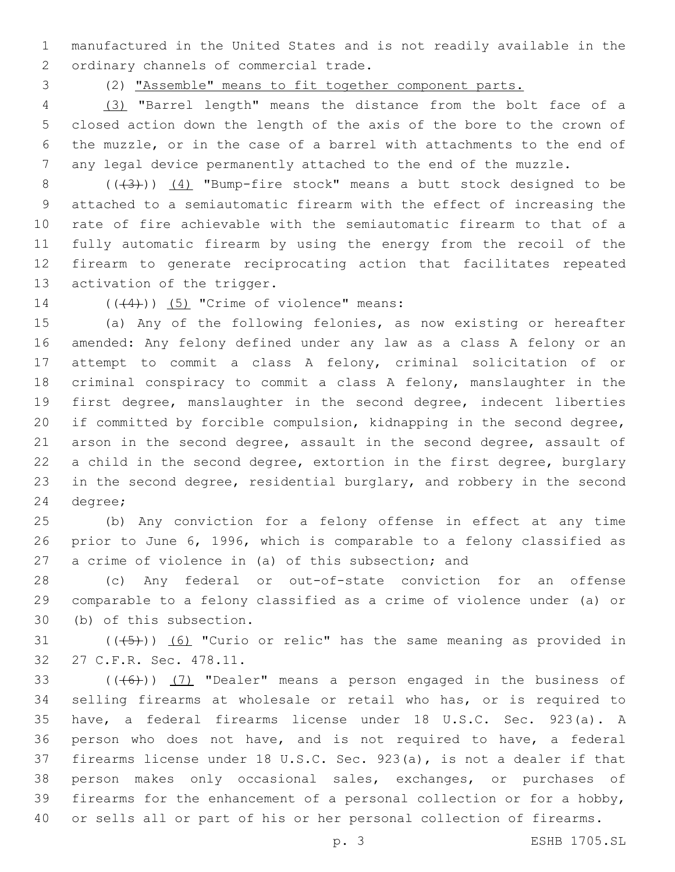manufactured in the United States and is not readily available in the 2 ordinary channels of commercial trade.

(2) "Assemble" means to fit together component parts.

 (3) "Barrel length" means the distance from the bolt face of a closed action down the length of the axis of the bore to the crown of the muzzle, or in the case of a barrel with attachments to the end of any legal device permanently attached to the end of the muzzle.

8 (( $(3)$ )) (4) "Bump-fire stock" means a butt stock designed to be attached to a semiautomatic firearm with the effect of increasing the rate of fire achievable with the semiautomatic firearm to that of a fully automatic firearm by using the energy from the recoil of the firearm to generate reciprocating action that facilitates repeated 13 activation of the trigger.

14  $((\langle 4 \rangle)(5)$  "Crime of violence" means:

 (a) Any of the following felonies, as now existing or hereafter amended: Any felony defined under any law as a class A felony or an attempt to commit a class A felony, criminal solicitation of or criminal conspiracy to commit a class A felony, manslaughter in the first degree, manslaughter in the second degree, indecent liberties if committed by forcible compulsion, kidnapping in the second degree, arson in the second degree, assault in the second degree, assault of a child in the second degree, extortion in the first degree, burglary in the second degree, residential burglary, and robbery in the second 24 degree;

 (b) Any conviction for a felony offense in effect at any time prior to June 6, 1996, which is comparable to a felony classified as a crime of violence in (a) of this subsection; and

 (c) Any federal or out-of-state conviction for an offense comparable to a felony classified as a crime of violence under (a) or 30 (b) of this subsection.

31  $((+5+))$   $(6)$  "Curio or relic" has the same meaning as provided in 27 C.F.R. Sec. 478.11.32

 $((+6))$   $(7)$  "Dealer" means a person engaged in the business of selling firearms at wholesale or retail who has, or is required to have, a federal firearms license under 18 U.S.C. Sec. 923(a). A person who does not have, and is not required to have, a federal firearms license under 18 U.S.C. Sec. 923(a), is not a dealer if that person makes only occasional sales, exchanges, or purchases of firearms for the enhancement of a personal collection or for a hobby, or sells all or part of his or her personal collection of firearms.

p. 3 ESHB 1705.SL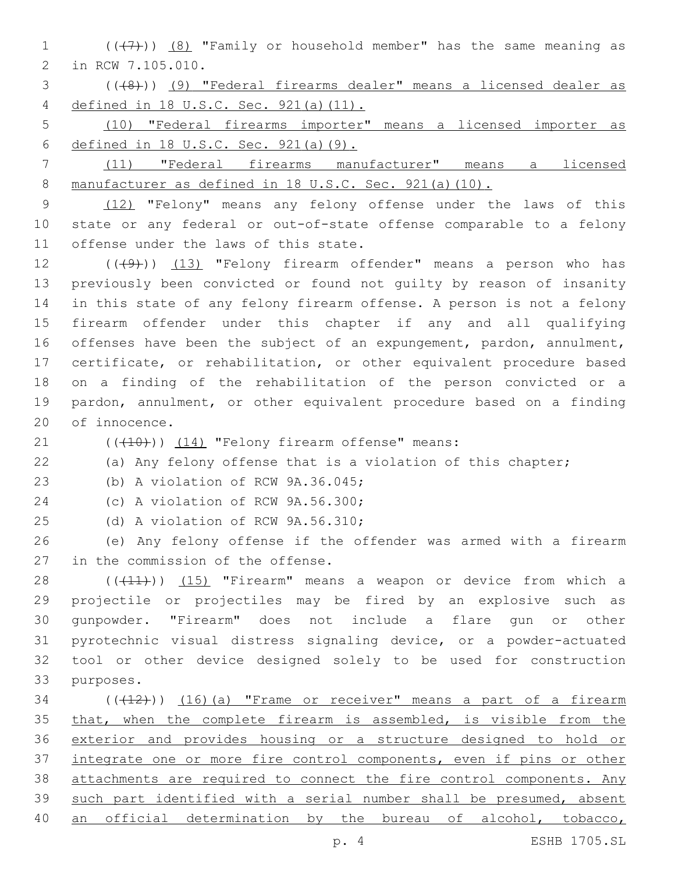1  $((+7)$ )  $(8)$  "Family or household member" has the same meaning as 2 in RCW 7.105.010.

3 (((8))) (9) "Federal firearms dealer" means a licensed dealer as 4 defined in 18 U.S.C. Sec. 921(a)(11).

5 (10) "Federal firearms importer" means a licensed importer as 6 defined in 18 U.S.C. Sec. 921(a)(9).

7 (11) "Federal firearms manufacturer" means a licensed 8 manufacturer as defined in 18 U.S.C. Sec. 921(a)(10).

9 (12) "Felony" means any felony offense under the laws of this 10 state or any federal or out-of-state offense comparable to a felony 11 offense under the laws of this state.

12 (((49))) (13) "Felony firearm offender" means a person who has previously been convicted or found not guilty by reason of insanity in this state of any felony firearm offense. A person is not a felony firearm offender under this chapter if any and all qualifying offenses have been the subject of an expungement, pardon, annulment, certificate, or rehabilitation, or other equivalent procedure based on a finding of the rehabilitation of the person convicted or a pardon, annulment, or other equivalent procedure based on a finding 20 of innocence.

 $(1)$   $(10)$ )  $(14)$  "Felony firearm offense" means:

22 (a) Any felony offense that is a violation of this chapter;

23 (b) A violation of RCW 9A.36.045;

24 (c) A violation of RCW 9A.56.300;

25 (d) A violation of RCW 9A.56.310;

26 (e) Any felony offense if the offender was armed with a firearm 27 in the commission of the offense.

28 (((11))) (15) "Firearm" means a weapon or device from which a projectile or projectiles may be fired by an explosive such as gunpowder. "Firearm" does not include a flare gun or other pyrotechnic visual distress signaling device, or a powder-actuated tool or other device designed solely to be used for construction 33 purposes.

 ( $(\overline{+12})$ )  $(16)$  (a) "Frame or receiver" means a part of a firearm 35 that, when the complete firearm is assembled, is visible from the exterior and provides housing or a structure designed to hold or integrate one or more fire control components, even if pins or other attachments are required to connect the fire control components. Any such part identified with a serial number shall be presumed, absent 40 an official determination by the bureau of alcohol, tobacco,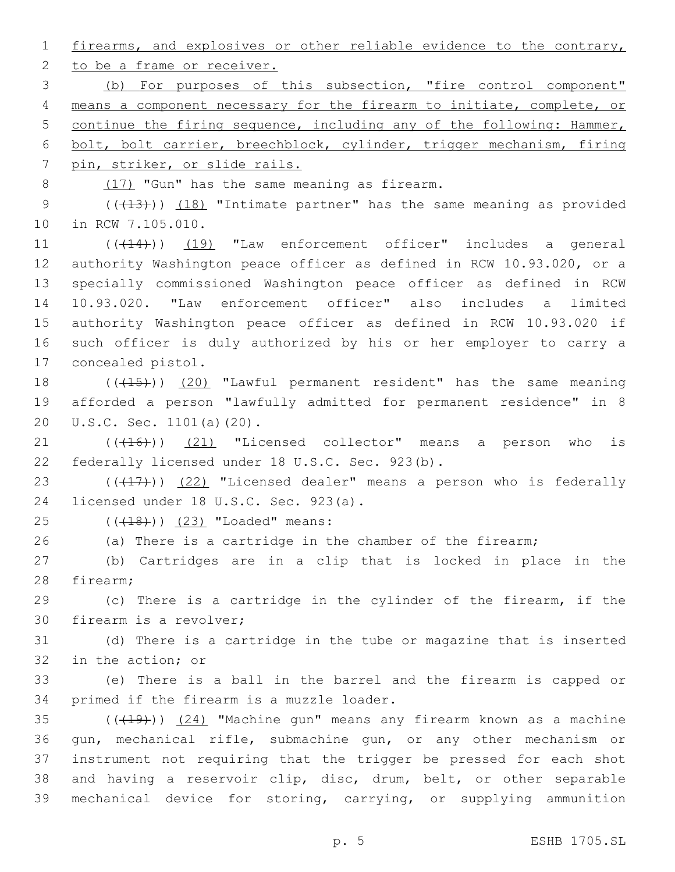1 firearms, and explosives or other reliable evidence to the contrary,

2 to be a frame or receiver.

 (b) For purposes of this subsection, "fire control component" means a component necessary for the firearm to initiate, complete, or continue the firing sequence, including any of the following: Hammer, bolt, bolt carrier, breechblock, cylinder, trigger mechanism, firing pin, striker, or slide rails.

8 (17) "Gun" has the same meaning as firearm.

9 (( $(13)$ )) (18) "Intimate partner" has the same meaning as provided 10 in RCW 7.105.010.

11 (( $(414)$ )) (19) "Law enforcement officer" includes a general authority Washington peace officer as defined in RCW 10.93.020, or a specially commissioned Washington peace officer as defined in RCW 10.93.020. "Law enforcement officer" also includes a limited authority Washington peace officer as defined in RCW 10.93.020 if such officer is duly authorized by his or her employer to carry a 17 concealed pistol.

18 (((15)) (20) "Lawful permanent resident" has the same meaning 19 afforded a person "lawfully admitted for permanent residence" in 8 20 U.S.C. Sec. 1101(a)(20).

 $(1)$   $(16)$ )  $(21)$  "Licensed collector" means a person who is 22 federally licensed under 18 U.S.C. Sec. 923(b).

23  $((+17))$   $(22)$  "Licensed dealer" means a person who is federally 24 licensed under 18 U.S.C. Sec. 923(a).

25 (((18))) (23) "Loaded" means:

26 (a) There is a cartridge in the chamber of the firearm;

27 (b) Cartridges are in a clip that is locked in place in the 28 firearm;

29 (c) There is a cartridge in the cylinder of the firearm, if the 30 firearm is a revolver;

31 (d) There is a cartridge in the tube or magazine that is inserted 32 in the action; or

33 (e) There is a ball in the barrel and the firearm is capped or 34 primed if the firearm is a muzzle loader.

 ( $(\overline{+19})$ )  $(24)$  "Machine gun" means any firearm known as a machine gun, mechanical rifle, submachine gun, or any other mechanism or instrument not requiring that the trigger be pressed for each shot and having a reservoir clip, disc, drum, belt, or other separable mechanical device for storing, carrying, or supplying ammunition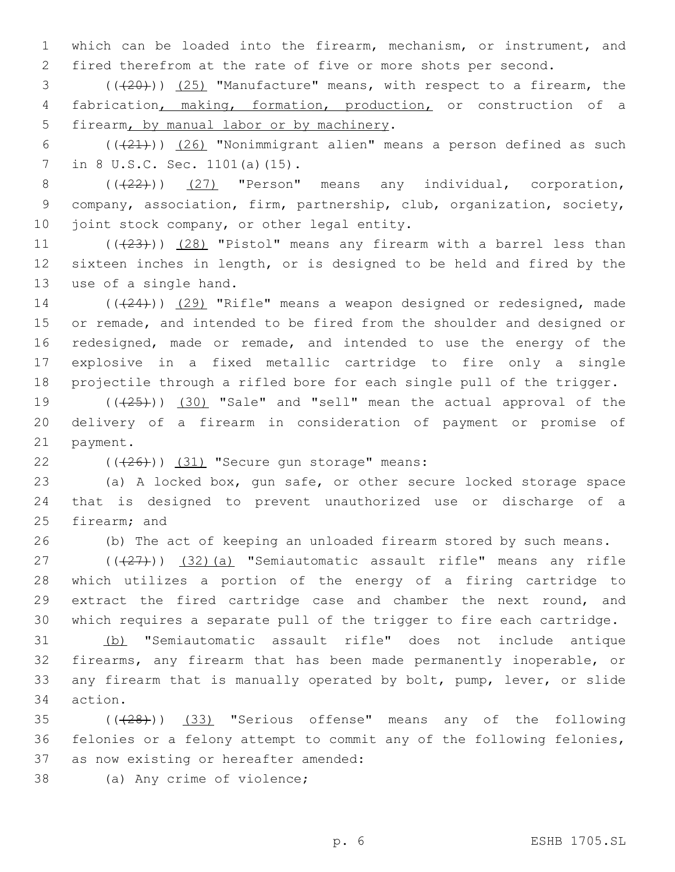1 which can be loaded into the firearm, mechanism, or instrument, and 2 fired therefrom at the rate of five or more shots per second.

3 (((20))) (25) "Manufacture" means, with respect to a firearm, the 4 fabrication, making, formation, production, or construction of a 5 firearm, by manual labor or by machinery.

6  $((+21))$   $(26)$  "Nonimmigrant alien" means a person defined as such 7 in 8 U.S.C. Sec. 1101(a)(15).

 $8$   $((22))$   $(27)$  "Person" means any individual, corporation, 9 company, association, firm, partnership, club, organization, society, 10 joint stock company, or other legal entity.

11  $((+23))$   $(28)$  "Pistol" means any firearm with a barrel less than 12 sixteen inches in length, or is designed to be held and fired by the 13 use of a single hand.

14 (((24))) (29) "Rifle" means a weapon designed or redesigned, made 15 or remade, and intended to be fired from the shoulder and designed or 16 redesigned, made or remade, and intended to use the energy of the 17 explosive in a fixed metallic cartridge to fire only a single 18 projectile through a rifled bore for each single pull of the trigger.

19  $((+25))$   $(30)$  "Sale" and "sell" mean the actual approval of the 20 delivery of a firearm in consideration of payment or promise of 21 payment.

 $(426)$ ) (31) "Secure gun storage" means:

23 (a) A locked box, gun safe, or other secure locked storage space 24 that is designed to prevent unauthorized use or discharge of a 25 firearm; and

26 (b) The act of keeping an unloaded firearm stored by such means.

 $(1)(\frac{27}{27})$  (32)(a) "Semiautomatic assault rifle" means any rifle which utilizes a portion of the energy of a firing cartridge to extract the fired cartridge case and chamber the next round, and which requires a separate pull of the trigger to fire each cartridge.

 (b) "Semiautomatic assault rifle" does not include antique firearms, any firearm that has been made permanently inoperable, or any firearm that is manually operated by bolt, pump, lever, or slide 34 action.

35 (( $(28)$ )) (33) "Serious offense" means any of the following 36 felonies or a felony attempt to commit any of the following felonies, 37 as now existing or hereafter amended:

38 (a) Any crime of violence;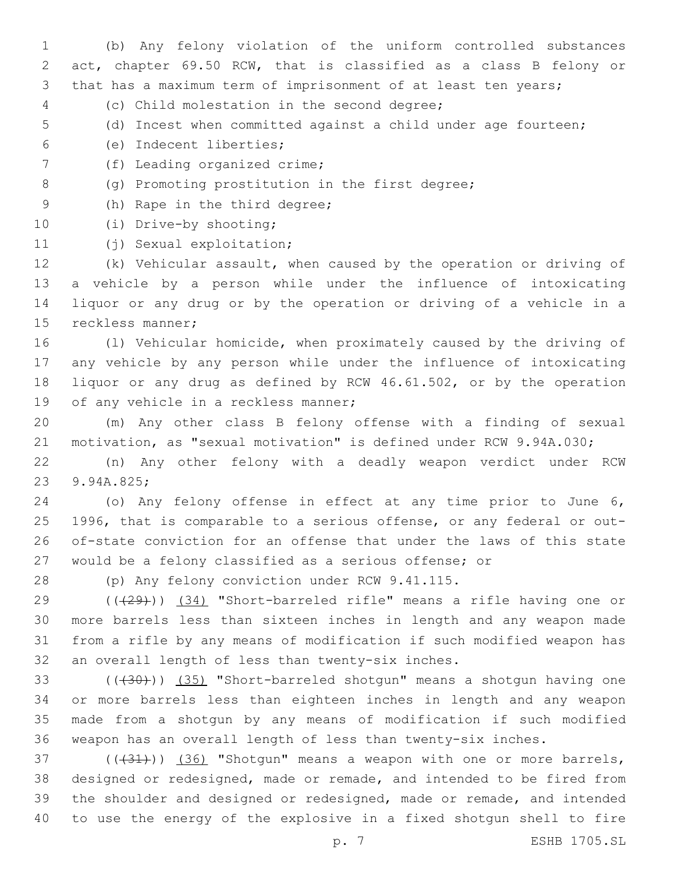(b) Any felony violation of the uniform controlled substances act, chapter 69.50 RCW, that is classified as a class B felony or that has a maximum term of imprisonment of at least ten years;

- (c) Child molestation in the second degree;4
- (d) Incest when committed against a child under age fourteen;
- (e) Indecent liberties;6
- 7 (f) Leading organized crime;
- 8 (g) Promoting prostitution in the first degree;
- 9 (h) Rape in the third degree;
- 10 (i) Drive-by shooting;
- 11 (j) Sexual exploitation;

 (k) Vehicular assault, when caused by the operation or driving of a vehicle by a person while under the influence of intoxicating liquor or any drug or by the operation or driving of a vehicle in a 15 reckless manner;

 (l) Vehicular homicide, when proximately caused by the driving of any vehicle by any person while under the influence of intoxicating liquor or any drug as defined by RCW 46.61.502, or by the operation 19 of any vehicle in a reckless manner;

 (m) Any other class B felony offense with a finding of sexual motivation, as "sexual motivation" is defined under RCW 9.94A.030;

 (n) Any other felony with a deadly weapon verdict under RCW 23 9.94A.825;

 (o) Any felony offense in effect at any time prior to June 6, 1996, that is comparable to a serious offense, or any federal or out- of-state conviction for an offense that under the laws of this state would be a felony classified as a serious offense; or

28 (p) Any felony conviction under RCW 9.41.115.

 (((29))) (34) "Short-barreled rifle" means a rifle having one or more barrels less than sixteen inches in length and any weapon made from a rifle by any means of modification if such modified weapon has 32 an overall length of less than twenty-six inches.

33 (((430))) (35) "Short-barreled shotgun" means a shotgun having one or more barrels less than eighteen inches in length and any weapon made from a shotgun by any means of modification if such modified weapon has an overall length of less than twenty-six inches.

 $(1,37)$  ( $(1,31)$ ) (36) "Shotgun" means a weapon with one or more barrels, designed or redesigned, made or remade, and intended to be fired from the shoulder and designed or redesigned, made or remade, and intended to use the energy of the explosive in a fixed shotgun shell to fire

p. 7 ESHB 1705.SL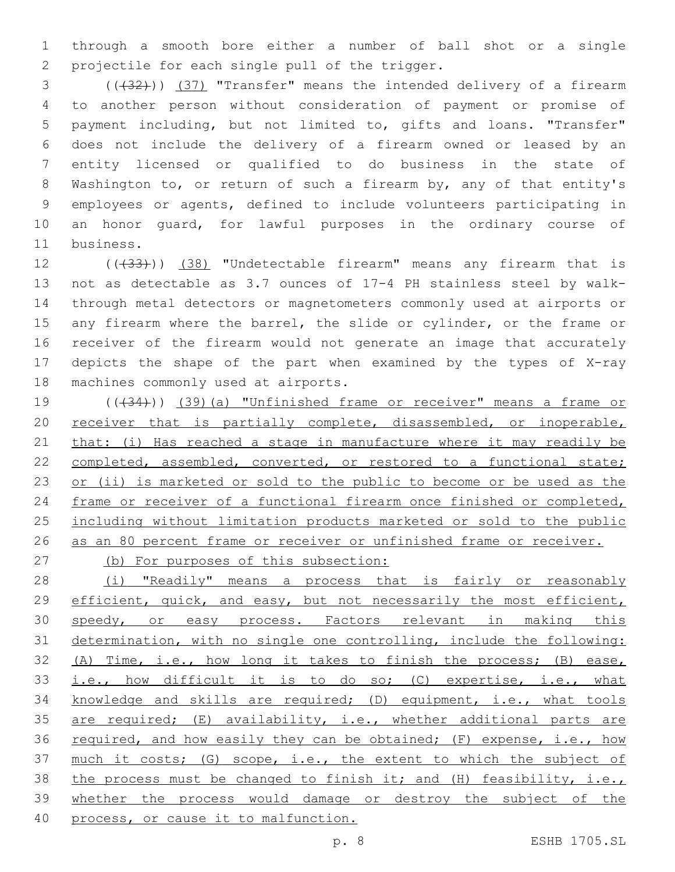1 through a smooth bore either a number of ball shot or a single 2 projectile for each single pull of the trigger.

3 (( $(32)$ )) (37) "Transfer" means the intended delivery of a firearm to another person without consideration of payment or promise of payment including, but not limited to, gifts and loans. "Transfer" does not include the delivery of a firearm owned or leased by an entity licensed or qualified to do business in the state of Washington to, or return of such a firearm by, any of that entity's employees or agents, defined to include volunteers participating in an honor guard, for lawful purposes in the ordinary course of 11 business.

12 (( $(33)$ )) (38) "Undetectable firearm" means any firearm that is 13 not as detectable as 3.7 ounces of 17-4 PH stainless steel by walk-14 through metal detectors or magnetometers commonly used at airports or 15 any firearm where the barrel, the slide or cylinder, or the frame or 16 receiver of the firearm would not generate an image that accurately 17 depicts the shape of the part when examined by the types of X-ray 18 machines commonly used at airports.

19 (( $(34)$ )) (39)(a) "Unfinished frame or receiver" means a frame or 20 receiver that is partially complete, disassembled, or inoperable, 21 that: (i) Has reached a stage in manufacture where it may readily be 22 completed, assembled, converted, or restored to a functional state; 23 or (ii) is marketed or sold to the public to become or be used as the 24 frame or receiver of a functional firearm once finished or completed, 25 including without limitation products marketed or sold to the public 26 as an 80 percent frame or receiver or unfinished frame or receiver.

27 (b) For purposes of this subsection:

28 (i) "Readily" means a process that is fairly or reasonably 29 efficient, quick, and easy, but not necessarily the most efficient, 30 speedy, or easy process. Factors relevant in making this 31 determination, with no single one controlling, include the following: 32 (A) Time, i.e., how long it takes to finish the process; (B) ease, 33 i.e., how difficult it is to do so; (C) expertise, i.e., what 34 knowledge and skills are required; (D) equipment, i.e., what tools 35 are required; (E) availability, i.e., whether additional parts are 36 required, and how easily they can be obtained; (F) expense, i.e., how 37 much it costs; (G) scope, i.e., the extent to which the subject of 38 the process must be changed to finish it; and (H) feasibility, i.e., 39 whether the process would damage or destroy the subject of the 40 process, or cause it to malfunction.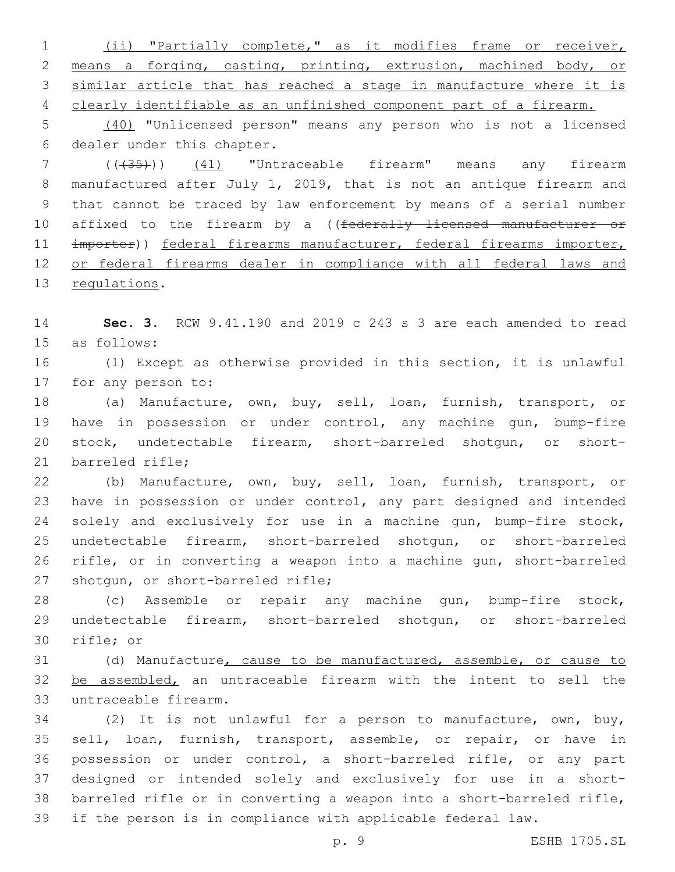(ii) "Partially complete," as it modifies frame or receiver, means a forging, casting, printing, extrusion, machined body, or similar article that has reached a stage in manufacture where it is clearly identifiable as an unfinished component part of a firearm.

 (40) "Unlicensed person" means any person who is not a licensed 6 dealer under this chapter.

 (((35))) (41) "Untraceable firearm" means any firearm manufactured after July 1, 2019, that is not an antique firearm and that cannot be traced by law enforcement by means of a serial number 10 affixed to the firearm by a ((federally licensed manufacturer or 11 importer)) federal firearms manufacturer, federal firearms importer, or federal firearms dealer in compliance with all federal laws and 13 regulations.

 **Sec. 3.** RCW 9.41.190 and 2019 c 243 s 3 are each amended to read 15 as follows:

 (1) Except as otherwise provided in this section, it is unlawful 17 for any person to:

 (a) Manufacture, own, buy, sell, loan, furnish, transport, or have in possession or under control, any machine gun, bump-fire stock, undetectable firearm, short-barreled shotgun, or short-21 barreled rifle:

 (b) Manufacture, own, buy, sell, loan, furnish, transport, or have in possession or under control, any part designed and intended solely and exclusively for use in a machine gun, bump-fire stock, undetectable firearm, short-barreled shotgun, or short-barreled rifle, or in converting a weapon into a machine gun, short-barreled 27 shotgun, or short-barreled rifle;

 (c) Assemble or repair any machine gun, bump-fire stock, undetectable firearm, short-barreled shotgun, or short-barreled 30 rifle; or

 (d) Manufacture, cause to be manufactured, assemble, or cause to 32 be assembled, an untraceable firearm with the intent to sell the 33 untraceable firearm.

 (2) It is not unlawful for a person to manufacture, own, buy, sell, loan, furnish, transport, assemble, or repair, or have in possession or under control, a short-barreled rifle, or any part designed or intended solely and exclusively for use in a short- barreled rifle or in converting a weapon into a short-barreled rifle, if the person is in compliance with applicable federal law.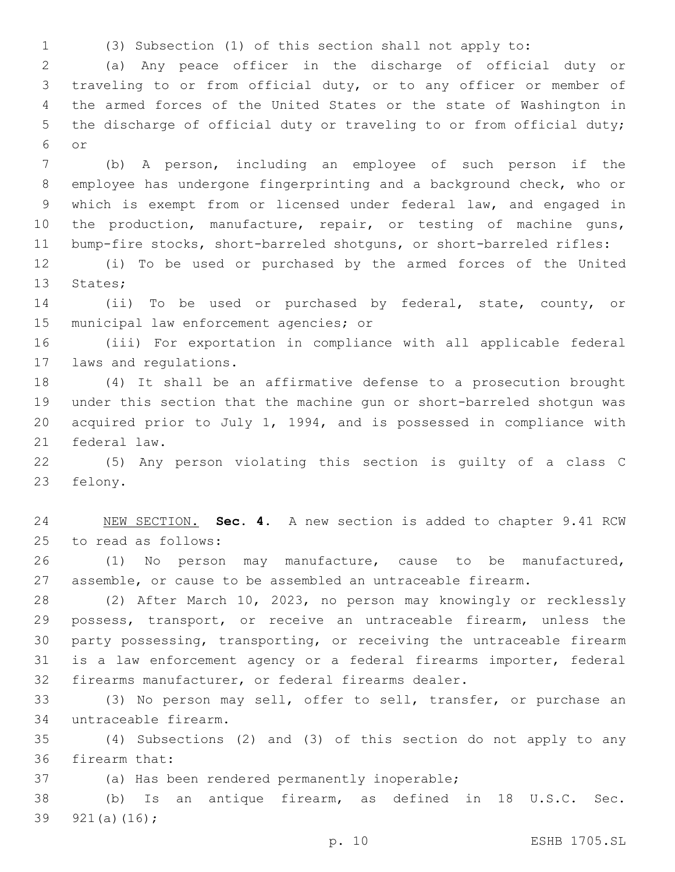(3) Subsection (1) of this section shall not apply to:

 (a) Any peace officer in the discharge of official duty or traveling to or from official duty, or to any officer or member of the armed forces of the United States or the state of Washington in the discharge of official duty or traveling to or from official duty; or6

 (b) A person, including an employee of such person if the employee has undergone fingerprinting and a background check, who or which is exempt from or licensed under federal law, and engaged in 10 the production, manufacture, repair, or testing of machine guns, bump-fire stocks, short-barreled shotguns, or short-barreled rifles:

 (i) To be used or purchased by the armed forces of the United 13 States;

 (ii) To be used or purchased by federal, state, county, or 15 municipal law enforcement agencies; or

 (iii) For exportation in compliance with all applicable federal 17 laws and regulations.

 (4) It shall be an affirmative defense to a prosecution brought under this section that the machine gun or short-barreled shotgun was acquired prior to July 1, 1994, and is possessed in compliance with 21 federal law.

 (5) Any person violating this section is guilty of a class C 23 felony.

 NEW SECTION. **Sec. 4.** A new section is added to chapter 9.41 RCW 25 to read as follows:

 (1) No person may manufacture, cause to be manufactured, assemble, or cause to be assembled an untraceable firearm.

 (2) After March 10, 2023, no person may knowingly or recklessly possess, transport, or receive an untraceable firearm, unless the party possessing, transporting, or receiving the untraceable firearm is a law enforcement agency or a federal firearms importer, federal firearms manufacturer, or federal firearms dealer.

 (3) No person may sell, offer to sell, transfer, or purchase an untraceable firearm.34

 (4) Subsections (2) and (3) of this section do not apply to any 36 firearm that:

37 (a) Has been rendered permanently inoperable;

 (b) Is an antique firearm, as defined in 18 U.S.C. Sec. 39  $921(a)(16)$ ;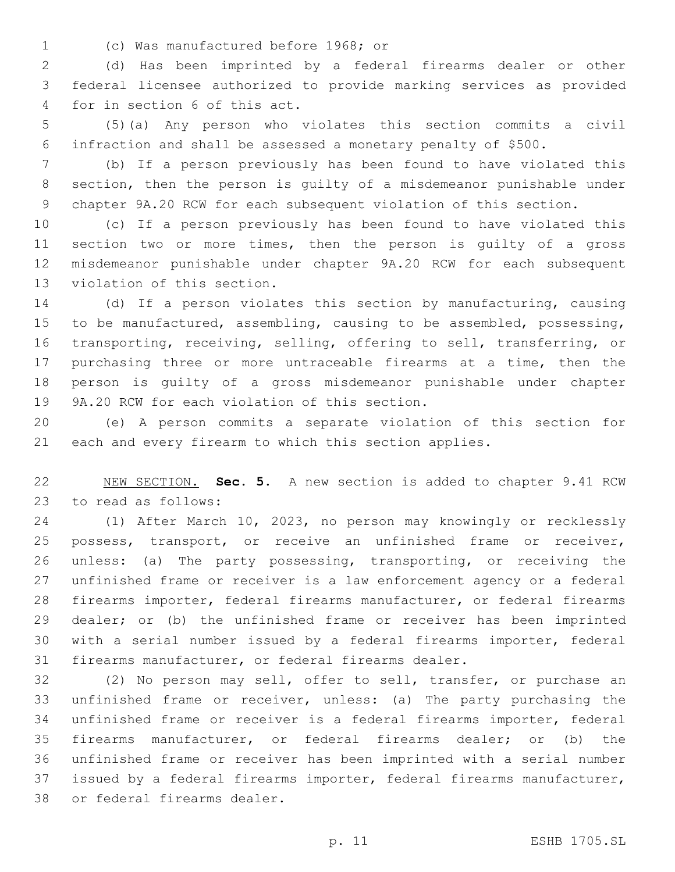(c) Was manufactured before 1968; or1

 (d) Has been imprinted by a federal firearms dealer or other federal licensee authorized to provide marking services as provided 4 for in section 6 of this act.

 (5)(a) Any person who violates this section commits a civil infraction and shall be assessed a monetary penalty of \$500.

 (b) If a person previously has been found to have violated this section, then the person is guilty of a misdemeanor punishable under chapter 9A.20 RCW for each subsequent violation of this section.

 (c) If a person previously has been found to have violated this section two or more times, then the person is guilty of a gross misdemeanor punishable under chapter 9A.20 RCW for each subsequent 13 violation of this section.

 (d) If a person violates this section by manufacturing, causing to be manufactured, assembling, causing to be assembled, possessing, transporting, receiving, selling, offering to sell, transferring, or purchasing three or more untraceable firearms at a time, then the person is guilty of a gross misdemeanor punishable under chapter 19 9A.20 RCW for each violation of this section.

 (e) A person commits a separate violation of this section for each and every firearm to which this section applies.

 NEW SECTION. **Sec. 5.** A new section is added to chapter 9.41 RCW 23 to read as follows:

 (1) After March 10, 2023, no person may knowingly or recklessly possess, transport, or receive an unfinished frame or receiver, unless: (a) The party possessing, transporting, or receiving the unfinished frame or receiver is a law enforcement agency or a federal firearms importer, federal firearms manufacturer, or federal firearms dealer; or (b) the unfinished frame or receiver has been imprinted with a serial number issued by a federal firearms importer, federal firearms manufacturer, or federal firearms dealer.

 (2) No person may sell, offer to sell, transfer, or purchase an unfinished frame or receiver, unless: (a) The party purchasing the unfinished frame or receiver is a federal firearms importer, federal firearms manufacturer, or federal firearms dealer; or (b) the unfinished frame or receiver has been imprinted with a serial number issued by a federal firearms importer, federal firearms manufacturer, 38 or federal firearms dealer.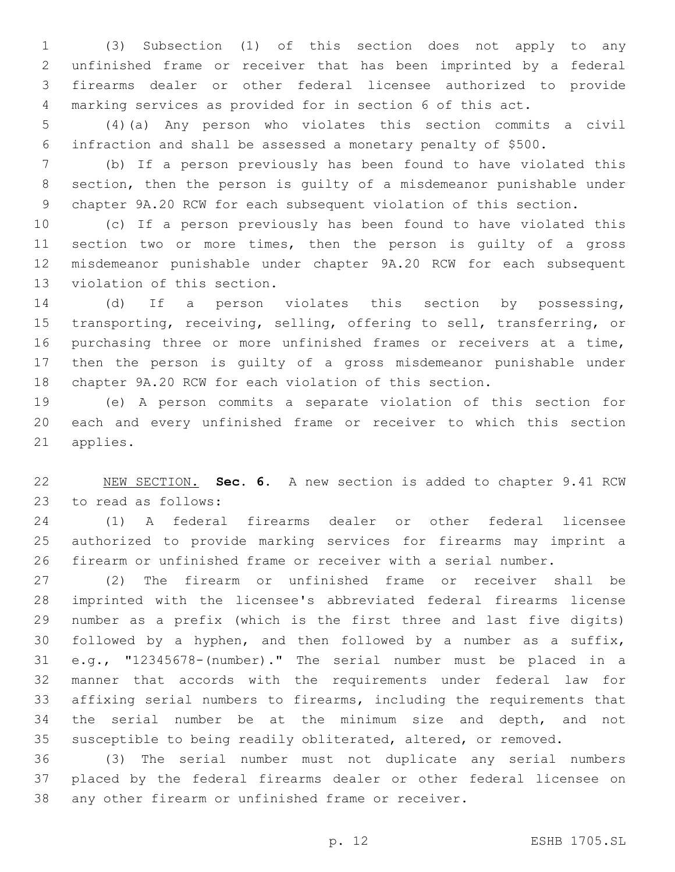(3) Subsection (1) of this section does not apply to any unfinished frame or receiver that has been imprinted by a federal firearms dealer or other federal licensee authorized to provide marking services as provided for in section 6 of this act.

 (4)(a) Any person who violates this section commits a civil infraction and shall be assessed a monetary penalty of \$500.

 (b) If a person previously has been found to have violated this section, then the person is guilty of a misdemeanor punishable under chapter 9A.20 RCW for each subsequent violation of this section.

 (c) If a person previously has been found to have violated this section two or more times, then the person is guilty of a gross misdemeanor punishable under chapter 9A.20 RCW for each subsequent 13 violation of this section.

 (d) If a person violates this section by possessing, transporting, receiving, selling, offering to sell, transferring, or purchasing three or more unfinished frames or receivers at a time, then the person is guilty of a gross misdemeanor punishable under chapter 9A.20 RCW for each violation of this section.

 (e) A person commits a separate violation of this section for each and every unfinished frame or receiver to which this section 21 applies.

 NEW SECTION. **Sec. 6.** A new section is added to chapter 9.41 RCW 23 to read as follows:

 (1) A federal firearms dealer or other federal licensee authorized to provide marking services for firearms may imprint a firearm or unfinished frame or receiver with a serial number.

 (2) The firearm or unfinished frame or receiver shall be imprinted with the licensee's abbreviated federal firearms license number as a prefix (which is the first three and last five digits) followed by a hyphen, and then followed by a number as a suffix, e.g., "12345678-(number)." The serial number must be placed in a manner that accords with the requirements under federal law for affixing serial numbers to firearms, including the requirements that the serial number be at the minimum size and depth, and not susceptible to being readily obliterated, altered, or removed.

 (3) The serial number must not duplicate any serial numbers placed by the federal firearms dealer or other federal licensee on any other firearm or unfinished frame or receiver.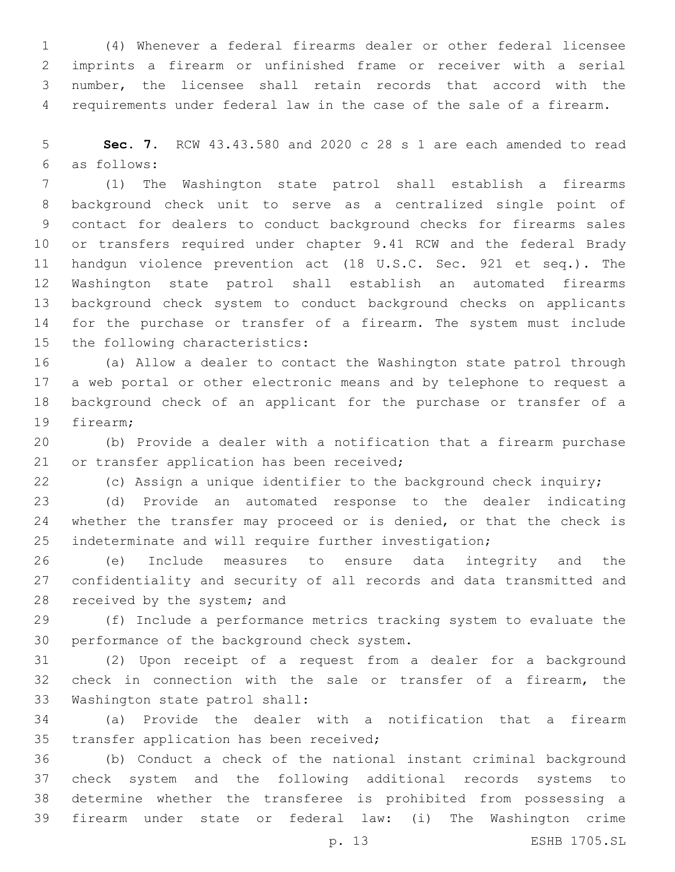(4) Whenever a federal firearms dealer or other federal licensee imprints a firearm or unfinished frame or receiver with a serial number, the licensee shall retain records that accord with the requirements under federal law in the case of the sale of a firearm.

 **Sec. 7.** RCW 43.43.580 and 2020 c 28 s 1 are each amended to read as follows:6

 (1) The Washington state patrol shall establish a firearms background check unit to serve as a centralized single point of contact for dealers to conduct background checks for firearms sales or transfers required under chapter 9.41 RCW and the federal Brady handgun violence prevention act (18 U.S.C. Sec. 921 et seq.). The Washington state patrol shall establish an automated firearms background check system to conduct background checks on applicants for the purchase or transfer of a firearm. The system must include 15 the following characteristics:

 (a) Allow a dealer to contact the Washington state patrol through a web portal or other electronic means and by telephone to request a background check of an applicant for the purchase or transfer of a 19 firearm:

 (b) Provide a dealer with a notification that a firearm purchase 21 or transfer application has been received;

(c) Assign a unique identifier to the background check inquiry;

 (d) Provide an automated response to the dealer indicating 24 whether the transfer may proceed or is denied, or that the check is indeterminate and will require further investigation;

 (e) Include measures to ensure data integrity and the confidentiality and security of all records and data transmitted and 28 received by the system; and

 (f) Include a performance metrics tracking system to evaluate the 30 performance of the background check system.

 (2) Upon receipt of a request from a dealer for a background check in connection with the sale or transfer of a firearm, the 33 Washington state patrol shall:

 (a) Provide the dealer with a notification that a firearm 35 transfer application has been received;

 (b) Conduct a check of the national instant criminal background check system and the following additional records systems to determine whether the transferee is prohibited from possessing a firearm under state or federal law: (i) The Washington crime

p. 13 ESHB 1705.SL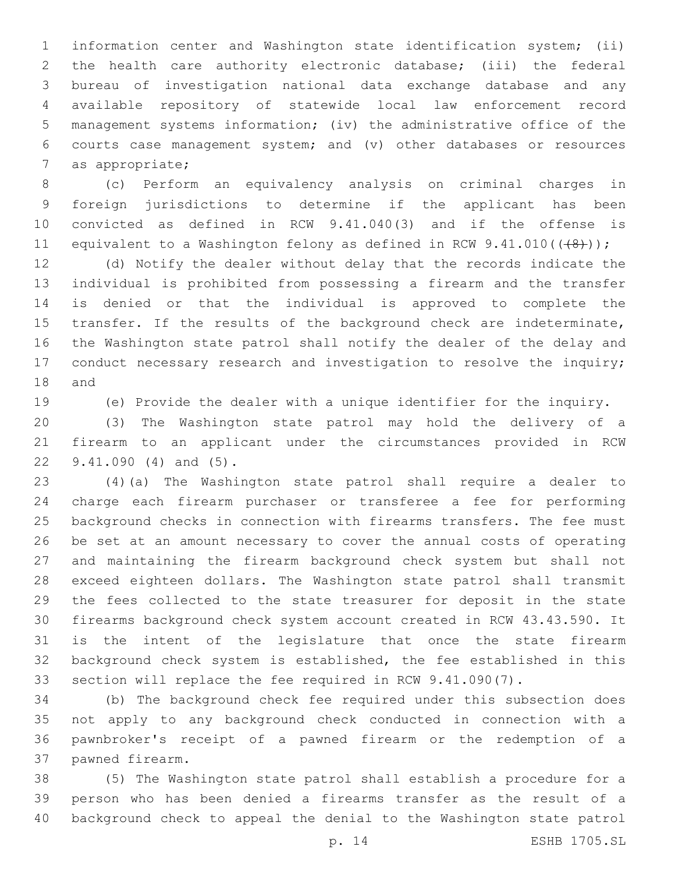information center and Washington state identification system; (ii) the health care authority electronic database; (iii) the federal bureau of investigation national data exchange database and any available repository of statewide local law enforcement record management systems information; (iv) the administrative office of the courts case management system; and (v) other databases or resources 7 as appropriate;

 (c) Perform an equivalency analysis on criminal charges in foreign jurisdictions to determine if the applicant has been convicted as defined in RCW 9.41.040(3) and if the offense is 11 equivalent to a Washington felony as defined in RCW 9.41.010(((48)));

 (d) Notify the dealer without delay that the records indicate the individual is prohibited from possessing a firearm and the transfer is denied or that the individual is approved to complete the transfer. If the results of the background check are indeterminate, the Washington state patrol shall notify the dealer of the delay and 17 conduct necessary research and investigation to resolve the inquiry; 18 and

(e) Provide the dealer with a unique identifier for the inquiry.

 (3) The Washington state patrol may hold the delivery of a firearm to an applicant under the circumstances provided in RCW 22 9.41.090 (4) and (5).

 (4)(a) The Washington state patrol shall require a dealer to charge each firearm purchaser or transferee a fee for performing background checks in connection with firearms transfers. The fee must be set at an amount necessary to cover the annual costs of operating and maintaining the firearm background check system but shall not exceed eighteen dollars. The Washington state patrol shall transmit the fees collected to the state treasurer for deposit in the state firearms background check system account created in RCW 43.43.590. It is the intent of the legislature that once the state firearm background check system is established, the fee established in this section will replace the fee required in RCW 9.41.090(7).

 (b) The background check fee required under this subsection does not apply to any background check conducted in connection with a pawnbroker's receipt of a pawned firearm or the redemption of a 37 pawned firearm.

 (5) The Washington state patrol shall establish a procedure for a person who has been denied a firearms transfer as the result of a background check to appeal the denial to the Washington state patrol